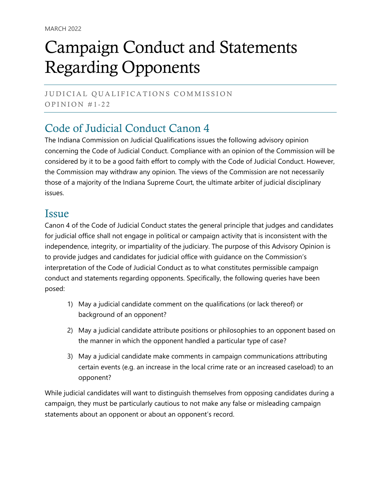# Campaign Conduct and Statements Regarding Opponents

JUDICIAL QUALIFICATIONS COMMISSION OPINION  $#1-22$ 

## Code of Judicial Conduct Canon 4

The Indiana Commission on Judicial Qualifications issues the following advisory opinion concerning the Code of Judicial Conduct. Compliance with an opinion of the Commission will be considered by it to be a good faith effort to comply with the Code of Judicial Conduct. However, the Commission may withdraw any opinion. The views of the Commission are not necessarily those of a majority of the Indiana Supreme Court, the ultimate arbiter of judicial disciplinary issues.

#### **Issue**

Canon 4 of the Code of Judicial Conduct states the general principle that judges and candidates for judicial office shall not engage in political or campaign activity that is inconsistent with the independence, integrity, or impartiality of the judiciary. The purpose of this Advisory Opinion is to provide judges and candidates for judicial office with guidance on the Commission's interpretation of the Code of Judicial Conduct as to what constitutes permissible campaign conduct and statements regarding opponents. Specifically, the following queries have been posed:

- 1) May a judicial candidate comment on the qualifications (or lack thereof) or background of an opponent?
- 2) May a judicial candidate attribute positions or philosophies to an opponent based on the manner in which the opponent handled a particular type of case?
- 3) May a judicial candidate make comments in campaign communications attributing certain events (e.g. an increase in the local crime rate or an increased caseload) to an opponent?

While judicial candidates will want to distinguish themselves from opposing candidates during a campaign, they must be particularly cautious to not make any false or misleading campaign statements about an opponent or about an opponent's record.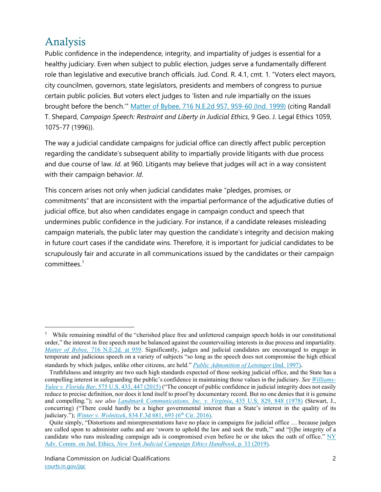## Analysis

Public confidence in the independence, integrity, and impartiality of judges is essential for a healthy judiciary. Even when subject to public election, judges serve a fundamentally different role than legislative and executive branch officials. Jud. Cond. R. 4.1, cmt. 1. "Voters elect mayors, city councilmen, governors, state legislators, presidents and members of congress to pursue certain public policies. But voters elect judges to 'listen and rule impartially on the issues brought before the bench.'" [Matter of Bybee, 716 N.E.2d 957, 959-60 \(Ind. 1999\)](https://perma.cc/B98S-QLY7) (citing Randall T. Shepard, *Campaign Speech: Restraint and Liberty in Judicial Ethics*, 9 Geo. J. Legal Ethics 1059, 1075-77 (1996)).

The way a judicial candidate campaigns for judicial office can directly affect public perception regarding the candidate's subsequent ability to impartially provide litigants with due process and due course of law. *Id*. at 960. Litigants may believe that judges will act in a way consistent with their campaign behavior. *Id*.

This concern arises not only when judicial candidates make "pledges, promises, or commitments" that are inconsistent with the impartial performance of the adjudicative duties of judicial office, but also when candidates engage in campaign conduct and speech that undermines public confidence in the judiciary. For instance, if a candidate releases misleading campaign materials, the public later may question the candidate's integrity and decision making in future court cases if the candidate wins. Therefore, it is important for judicial candidates to be scrupulously fair and accurate in all communications issued by the candidates or their campaign committees.[1](#page-1-0)

<span id="page-1-0"></span><sup>1</sup> While remaining mindful of the "cherished place free and unfettered campaign speech holds in our constitutional order," the interest in free speech must be balanced against the countervailing interests in due process and impartiality. *Matter of Bybee,* [716 N.E.2d. at 959.](https://perma.cc/B98S-QLY7) Significantly, judges and judicial candidates are encouraged to engage in temperate and judicious speech on a variety of subjects "so long as the speech does not compromise the high ethical standards by which judges, unlike other citizens, are held." *[Public Admonition of Letsinger](https://perma.cc/N65M-CHQT)* (Ind. 1997).

Truthfulness and integrity are two such high standards expected of those seeking judicial office, and the State has a compelling interest in safeguarding the public's confidence in maintaining those values in the judiciary. *Se[e Williams-](https://perma.cc/5A6Z-GPGH)Yulee v. Florida Bar*[, 575 U.S. 433, 447 \(2015\)](https://perma.cc/5A6Z-GPGH) ("The concept of public confidence in judicial integrity does not easily reduce to precise definition, nor does it lend itself to proof by documentary record. But no one denies that it is genuine and compelling."); *see also [Landmark Communications, Inc. v. Virginia](https://perma.cc/LN62-DE58)*, 435 U.S. 829, 848 (1978) (Stewart, J., concurring) ("There could hardly be a higher governmental interest than a State's interest in the quality of its judiciary."); *Winter v. Wolnitzek*, 834 F.3d 681, 693 (6<sup>th</sup> Cir. 2016).

Quite simply, "Distortions and misrepresentations have no place in campaigns for judicial office … because judges are called upon to administer oaths and are 'sworn to uphold the law and seek the truth,'" and "[t]he integrity of a candidate who runs misleading campaign ads is compromised even before he or she takes the oath of office." NY Adv. Comm. on Jud. Ethics, *[New York Judicial Campaign Ethics Handbook](https://perma.cc/UGH8-RPAE)*, p. 33 (2019).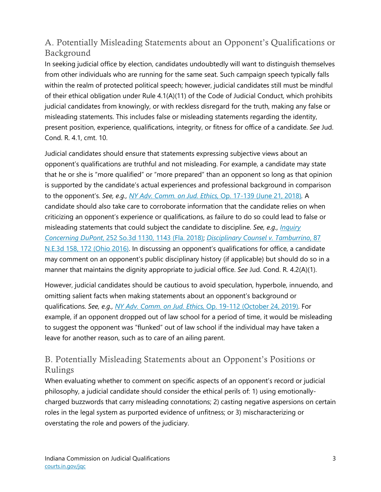#### A. Potentially Misleading Statements about an Opponent's Qualifications or Background

In seeking judicial office by election, candidates undoubtedly will want to distinguish themselves from other individuals who are running for the same seat. Such campaign speech typically falls within the realm of protected political speech; however, judicial candidates still must be mindful of their ethical obligation under Rule 4.1(A)(11) of the Code of Judicial Conduct, which prohibits judicial candidates from knowingly, or with reckless disregard for the truth, making any false or misleading statements. This includes false or misleading statements regarding the identity, present position, experience, qualifications, integrity, or fitness for office of a candidate. *See* Jud. Cond. R. 4.1, cmt. 10.

Judicial candidates should ensure that statements expressing subjective views about an opponent's qualifications are truthful and not misleading. For example, a candidate may state that he or she is "more qualified" or "more prepared" than an opponent so long as that opinion is supported by the candidate's actual experiences and professional background in comparison to the opponent's. *See, e.g., [NY Adv. Comm. on Jud. Ethics,](https://perma.cc/BZY2-H8TC)* Op. 17-139 (June 21, 2018)*.* A candidate should also take care to corroborate information that the candidate relies on when criticizing an opponent's experience or qualifications, as failure to do so could lead to false or misleading statements that could subject the candidate to discipline. *See, e.g., [Inquiry](https://perma.cc/2TC4-Z3NQ)  Concerning DuPont*[, 252 So.3d 1130, 1143 \(Fla. 2018\);](https://perma.cc/2TC4-Z3NQ) *[Disciplinary Counsel v. Tamburrino](https://perma.cc/S67J-EPRZ)*, 87 [N.E.3d 158, 172](https://perma.cc/S67J-EPRZ) (Ohio 2016). In discussing an opponent's qualifications for office, a candidate may comment on an opponent's public disciplinary history (if applicable) but should do so in a manner that maintains the dignity appropriate to judicial office. *See* Jud. Cond. R. 4.2(A)(1).

However, judicial candidates should be cautious to avoid speculation, hyperbole, innuendo, and omitting salient facts when making statements about an opponent's background or qualifications. *See, e.g., [NY Adv. Comm. on Jud. Ethics,](https://perma.cc/6BUE-VGKD)* Op. 19-112 (October 24, 2019). For example, if an opponent dropped out of law school for a period of time, it would be misleading to suggest the opponent was "flunked" out of law school if the individual may have taken a leave for another reason, such as to care of an ailing parent.

#### B. Potentially Misleading Statements about an Opponent's Positions or Rulings

When evaluating whether to comment on specific aspects of an opponent's record or judicial philosophy, a judicial candidate should consider the ethical perils of: 1) using emotionallycharged buzzwords that carry misleading connotations; 2) casting negative aspersions on certain roles in the legal system as purported evidence of unfitness; or 3) mischaracterizing or overstating the role and powers of the judiciary.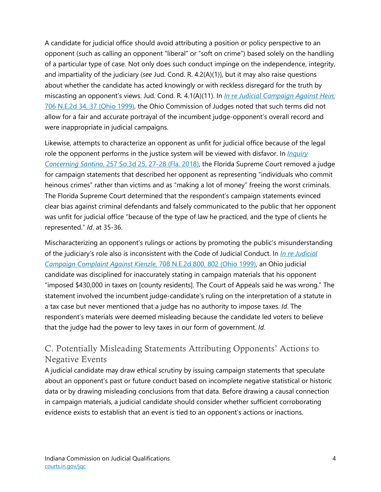A candidate for judicial office should avoid attributing a position or policy perspective to an opponent (such as calling an opponent "liberal" or "soft on crime") based solely on the handling of a particular type of case. Not only does such conduct impinge on the independence, integrity, and impartiality of the judiciary (*see* Jud. Cond. R. 4.2(A)(1)), but it may also raise questions about whether the candidate has acted knowingly or with reckless disregard for the truth by miscasting an opponent's views. Jud. Cond. R. 4.1(A)(11). In *[In re Judicial Campaign Against Hein](https://perma.cc/ERR8-FS5T)*, [706 N.E.2d 34, 37 \(Ohio 1999\),](https://perma.cc/ERR8-FS5T) the Ohio Commission of Judges noted that such terms did not allow for a fair and accurate portrayal of the incumbent judge-opponent's overall record and were inappropriate in judicial campaigns.

Likewise, attempts to characterize an opponent as unfit for judicial office because of the legal role the opponent performs in the justice system will be viewed with disfavor. In *[Inquiry](https://perma.cc/A489-8F9Q)  Concerning Santino*[, 257 So.3d 25, 27-28 \(Fla. 2018\),](https://perma.cc/A489-8F9Q) the Florida Supreme Court removed a judge for campaign statements that described her opponent as representing "individuals who commit heinous crimes" rather than victims and as "making a lot of money" freeing the worst criminals. The Florida Supreme Court determined that the respondent's campaign statements evinced clear bias against criminal defendants and falsely communicated to the public that her opponent was unfit for judicial office "because of the type of law he practiced, and the type of clients he represented." *Id*. at 35-36.

Mischaracterizing an opponent's rulings or actions by promoting the public's misunderstanding of the judiciary's role also is inconsistent with the Code of Judicial Conduct. In *[In re Judicial](https://perma.cc/U8CM-NNA4)  [Campaign Complaint Against Kienzle](https://perma.cc/U8CM-NNA4)*, 708 N.E.2d 800, 802 (Ohio 1999), an Ohio judicial candidate was disciplined for inaccurately stating in campaign materials that his opponent "imposed \$430,000 in taxes on [county residents]. The Court of Appeals said he was wrong." The statement involved the incumbent judge-candidate's ruling on the interpretation of a statute in a tax case but never mentioned that a judge has no authority to impose taxes. *Id*. The respondent's materials were deemed misleading because the candidate led voters to believe that the judge had the power to levy taxes in our form of government. *Id.*

#### C. Potentially Misleading Statements Attributing Opponents' Actions to Negative Events

A judicial candidate may draw ethical scrutiny by issuing campaign statements that speculate about an opponent's past or future conduct based on incomplete negative statistical or historic data or by drawing misleading conclusions from that data. Before drawing a causal connection in campaign materials, a judicial candidate should consider whether sufficient corroborating evidence exists to establish that an event is tied to an opponent's actions or inactions.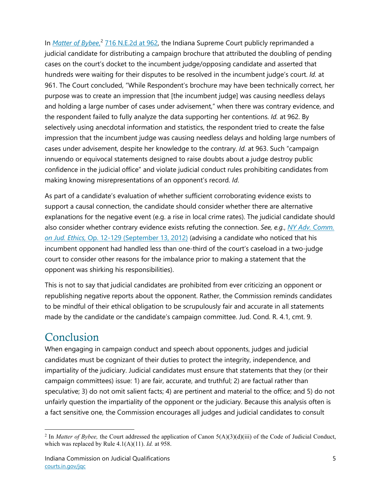In *[Matter of Bybee](https://perma.cc/B98S-QLY7)*, [2](#page-4-0) [716 N.E.2d at 962,](https://perma.cc/B98S-QLY7) the Indiana Supreme Court publicly reprimanded a judicial candidate for distributing a campaign brochure that attributed the doubling of pending cases on the court's docket to the incumbent judge/opposing candidate and asserted that hundreds were waiting for their disputes to be resolved in the incumbent judge's court. *Id.* at 961. The Court concluded, "While Respondent's brochure may have been technically correct, her purpose was to create an impression that [the incumbent judge] was causing needless delays and holding a large number of cases under advisement," when there was contrary evidence, and the respondent failed to fully analyze the data supporting her contentions. *Id.* at 962. By selectively using anecdotal information and statistics, the respondent tried to create the false impression that the incumbent judge was causing needless delays and holding large numbers of cases under advisement, despite her knowledge to the contrary. *Id.* at 963. Such "campaign innuendo or equivocal statements designed to raise doubts about a judge destroy public confidence in the judicial office" and violate judicial conduct rules prohibiting candidates from making knowing misrepresentations of an opponent's record. *Id*.

As part of a candidate's evaluation of whether sufficient corroborating evidence exists to support a causal connection, the candidate should consider whether there are alternative explanations for the negative event (e.g. a rise in local crime rates). The judicial candidate should also consider whether contrary evidence exists refuting the connection. *See, e.g.*, *[NY Adv. Comm.](https://perma.cc/4RJ4-N69U)  on Jud. Ethics,* [Op. 12-129 \(September 13, 2012\)](https://perma.cc/4RJ4-N69U) (advising a candidate who noticed that his incumbent opponent had handled less than one-third of the court's caseload in a two-judge court to consider other reasons for the imbalance prior to making a statement that the opponent was shirking his responsibilities).

This is not to say that judicial candidates are prohibited from ever criticizing an opponent or republishing negative reports about the opponent. Rather, the Commission reminds candidates to be mindful of their ethical obligation to be scrupulously fair and accurate in all statements made by the candidate or the candidate's campaign committee. Jud. Cond. R. 4.1, cmt. 9.

### Conclusion

When engaging in campaign conduct and speech about opponents, judges and judicial candidates must be cognizant of their duties to protect the integrity, independence, and impartiality of the judiciary. Judicial candidates must ensure that statements that they (or their campaign committees) issue: 1) are fair, accurate, and truthful; 2) are factual rather than speculative; 3) do not omit salient facts; 4) are pertinent and material to the office; and 5) do not unfairly question the impartiality of the opponent or the judiciary. Because this analysis often is a fact sensitive one, the Commission encourages all judges and judicial candidates to consult

<span id="page-4-0"></span><sup>2</sup> In *Matter of Bybee,* the Court addressed the application of Canon 5(A)(3)(d)(iii) of the Code of Judicial Conduct, which was replaced by Rule 4.1(A)(11). *Id.* at 958.